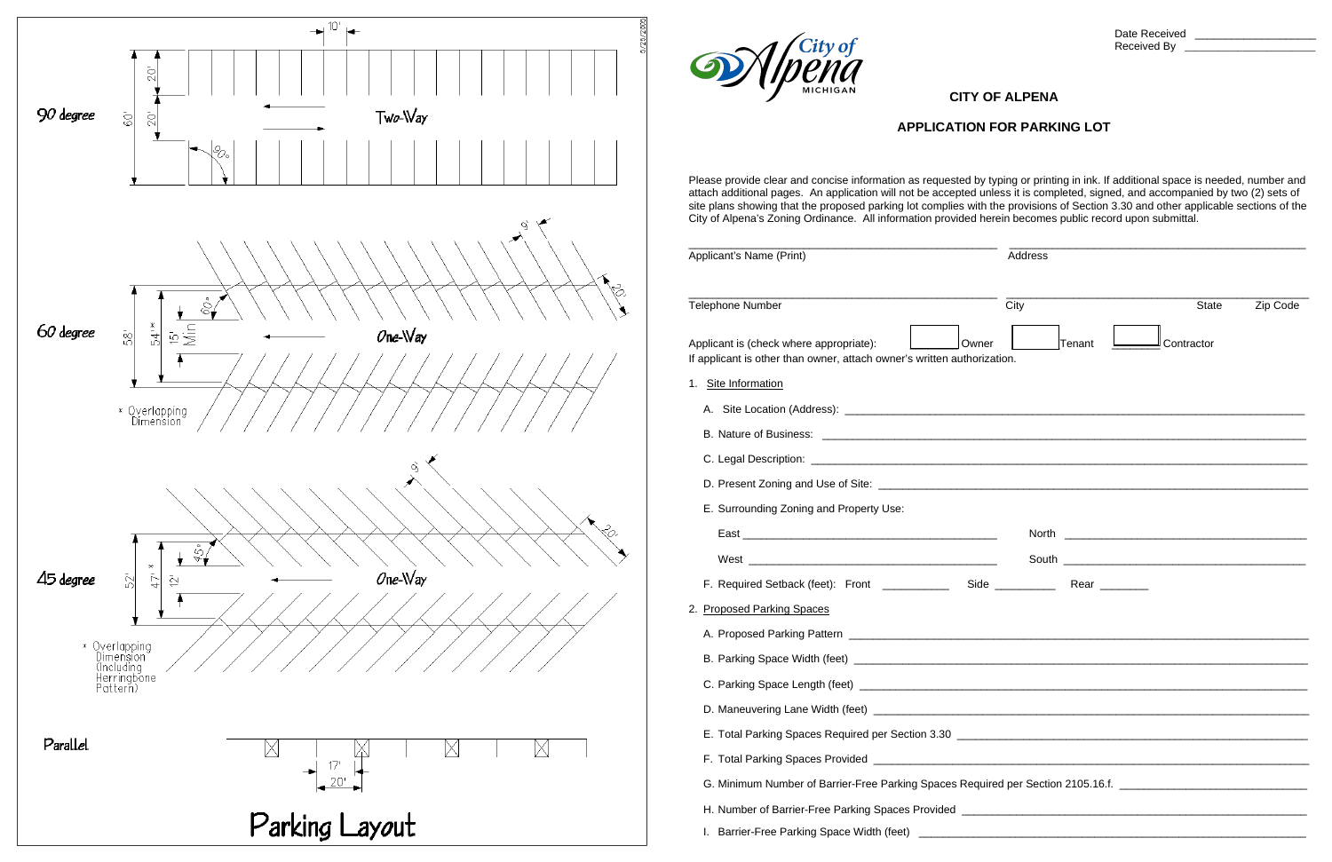

| $\mathcal{L}$                                                                                                                                                                                                                                                                                                                                                                                                                                                                                                                                                | <b>CITY OF ALPENA</b> |                                                                  |  |  |
|--------------------------------------------------------------------------------------------------------------------------------------------------------------------------------------------------------------------------------------------------------------------------------------------------------------------------------------------------------------------------------------------------------------------------------------------------------------------------------------------------------------------------------------------------------------|-----------------------|------------------------------------------------------------------|--|--|
| <b>APPLICATION FOR PARKING LOT</b><br>Please provide clear and concise information as requested by typing or printing in ink. If additional space is needed, number and<br>attach additional pages. An application will not be accepted unless it is completed, signed, and accompanied by two (2) sets of<br>site plans showing that the proposed parking lot complies with the provisions of Section 3.30 and other applicable sections of the<br>City of Alpena's Zoning Ordinance. All information provided herein becomes public record upon submittal. |                       |                                                                  |  |  |
|                                                                                                                                                                                                                                                                                                                                                                                                                                                                                                                                                              |                       |                                                                  |  |  |
| <b>Telephone Number</b>                                                                                                                                                                                                                                                                                                                                                                                                                                                                                                                                      | City                  | Zip Code<br><b>State</b>                                         |  |  |
| Applicant is (check where appropriate):<br>If applicant is other than owner, attach owner's written authorization.                                                                                                                                                                                                                                                                                                                                                                                                                                           | Tenant<br>Owner       | Contractor                                                       |  |  |
| 1. Site Information                                                                                                                                                                                                                                                                                                                                                                                                                                                                                                                                          |                       |                                                                  |  |  |
|                                                                                                                                                                                                                                                                                                                                                                                                                                                                                                                                                              |                       |                                                                  |  |  |
|                                                                                                                                                                                                                                                                                                                                                                                                                                                                                                                                                              |                       |                                                                  |  |  |
|                                                                                                                                                                                                                                                                                                                                                                                                                                                                                                                                                              |                       |                                                                  |  |  |
|                                                                                                                                                                                                                                                                                                                                                                                                                                                                                                                                                              |                       |                                                                  |  |  |
| E. Surrounding Zoning and Property Use:                                                                                                                                                                                                                                                                                                                                                                                                                                                                                                                      |                       |                                                                  |  |  |
| East                                                                                                                                                                                                                                                                                                                                                                                                                                                                                                                                                         | North                 | <u> 1980 - Jan James James Barnett, fransk politik (d. 1980)</u> |  |  |
| West<br><u> 1980 - Jan Sterling von Berling von Berling von Berling von Berling von Berling von Berling von Berling von B</u>                                                                                                                                                                                                                                                                                                                                                                                                                                | South                 |                                                                  |  |  |
|                                                                                                                                                                                                                                                                                                                                                                                                                                                                                                                                                              |                       |                                                                  |  |  |
| 2. Proposed Parking Spaces                                                                                                                                                                                                                                                                                                                                                                                                                                                                                                                                   |                       |                                                                  |  |  |
|                                                                                                                                                                                                                                                                                                                                                                                                                                                                                                                                                              |                       |                                                                  |  |  |
|                                                                                                                                                                                                                                                                                                                                                                                                                                                                                                                                                              |                       |                                                                  |  |  |
|                                                                                                                                                                                                                                                                                                                                                                                                                                                                                                                                                              |                       |                                                                  |  |  |
|                                                                                                                                                                                                                                                                                                                                                                                                                                                                                                                                                              |                       |                                                                  |  |  |
| E. Total Parking Spaces Required per Section 3.30 [14] [2010] [2010] [2010] [2010] [2010] [2010] [2010] [2010] [2010] [2010] [2010] [2010] [2010] [2010] [2010] [2010] [2010] [2010] [2010] [2010] [2010] [2010] [2010] [2010]                                                                                                                                                                                                                                                                                                                               |                       |                                                                  |  |  |
|                                                                                                                                                                                                                                                                                                                                                                                                                                                                                                                                                              |                       |                                                                  |  |  |
| G. Minimum Number of Barrier-Free Parking Spaces Required per Section 2105.16.f. _____________________________                                                                                                                                                                                                                                                                                                                                                                                                                                               |                       |                                                                  |  |  |
|                                                                                                                                                                                                                                                                                                                                                                                                                                                                                                                                                              |                       |                                                                  |  |  |
|                                                                                                                                                                                                                                                                                                                                                                                                                                                                                                                                                              |                       |                                                                  |  |  |